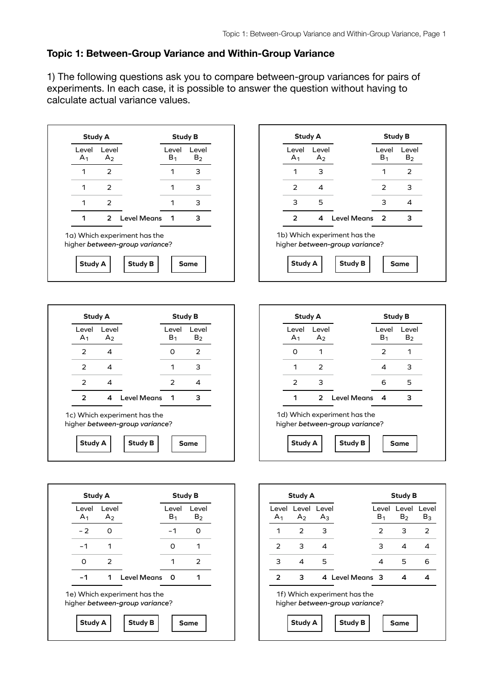## **Topic 1: Between-Group Variance and Within-Group Variance**

1) The following questions ask you to compare between-group variances for pairs of experiments. In each case, it is possible to answer the question without having to calculate actual variance values.











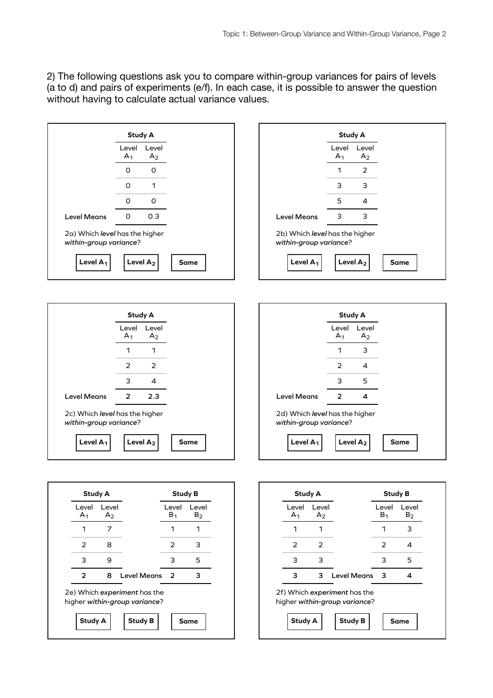2) The following questions ask you to compare within-group variances for pairs of levels (a to d) and pairs of experiments (e/f). In each case, it is possible to answer the question without having to calculate actual variance values.



**Study A**

**Study B Same**

**Study A**

**Study B Same**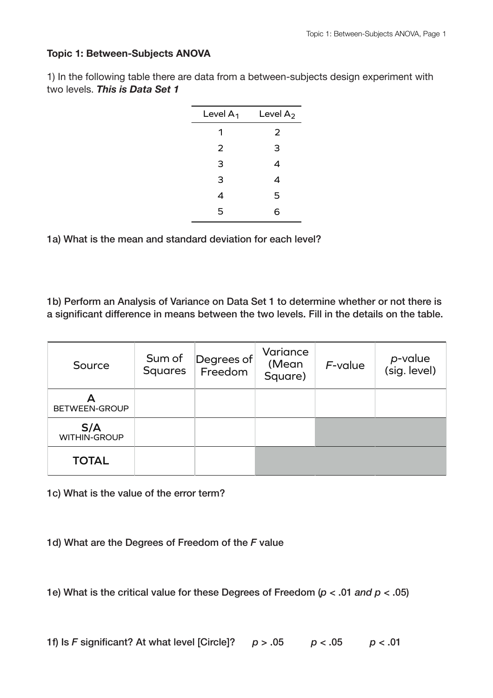## **Topic 1: Between-Subjects ANOVA**

1) In the following table there are data from a between-subjects design experiment with two levels. *This is Data Set 1*

| Level $A_1$ | Level $A_2$ |
|-------------|-------------|
| 1           | 2           |
| 2           | 3           |
| 3           | 4           |
| 3           | 4           |
| 4           | 5           |
| 5           | 6           |

1a) What is the mean and standard deviation for each level?

1b) Perform an Analysis of Variance on Data Set 1 to determine whether or not there is a significant difference in means between the two levels. Fill in the details on the table.

| Source                     | Sum of<br><b>Squares</b> | Degrees of<br>Freedom | Variance<br>(Mean<br>Square) | $F$ -value | p-value<br>(sig. level) |
|----------------------------|--------------------------|-----------------------|------------------------------|------------|-------------------------|
| BETWEEN-GROUP              |                          |                       |                              |            |                         |
| S/A<br><b>WITHIN-GROUP</b> |                          |                       |                              |            |                         |
| <b>TOTAL</b>               |                          |                       |                              |            |                         |

1c) What is the value of the error term?

1d) What are the Degrees of Freedom of the *F* value

1e) What is the critical value for these Degrees of Freedom (*p* < .01 *and p* < .05)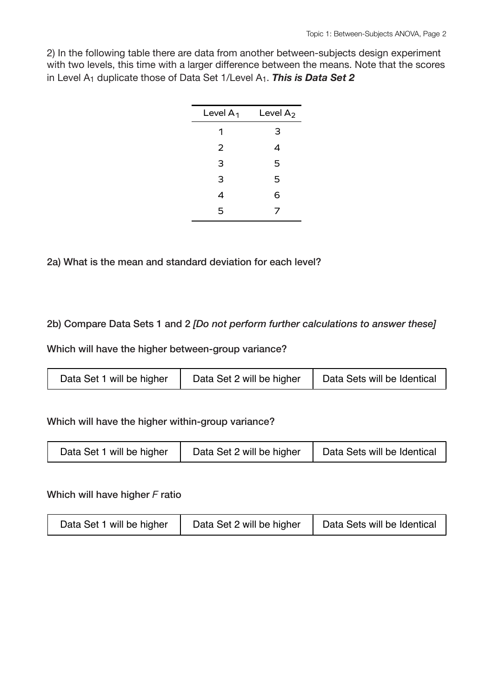2) In the following table there are data from another between-subjects design experiment with two levels, this time with a larger difference between the means. Note that the scores in Level A<sub>1</sub> duplicate those of Data Set 1/Level A<sub>1</sub>. This is Data Set 2

| Level $A_2$ |
|-------------|
| 3           |
| 4           |
| 5           |
| 5           |
| 6           |
| 7           |
|             |

2a) What is the mean and standard deviation for each level?

2b) Compare Data Sets 1 and 2 *[Do not perform further calculations to answer these]*

Which will have the higher between-group variance?

|  | Data Set 1 will be higher | Data Set 2 will be higher | Data Sets will be Identical |
|--|---------------------------|---------------------------|-----------------------------|
|--|---------------------------|---------------------------|-----------------------------|

Which will have the higher within-group variance?

| Data Set 1 will be higher | Data Set 2 will be higher | Data Sets will be Identical |
|---------------------------|---------------------------|-----------------------------|
|---------------------------|---------------------------|-----------------------------|

Which will have higher *F* ratio

| Data Set 1 will be higher | Data Set 2 will be higher | Data Sets will be Identical |
|---------------------------|---------------------------|-----------------------------|
|---------------------------|---------------------------|-----------------------------|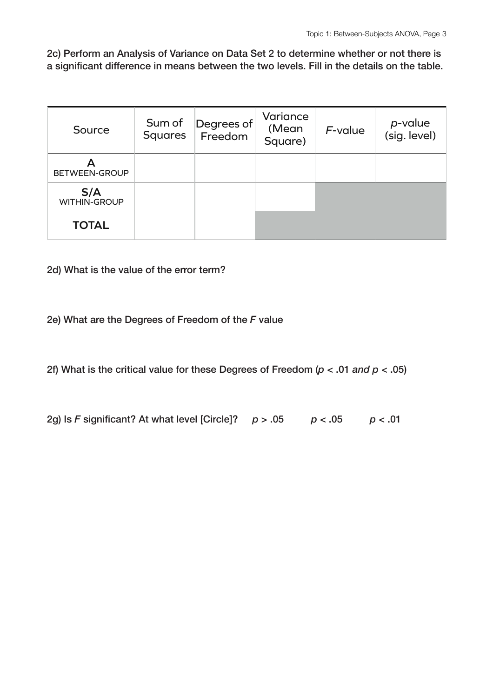2c) Perform an Analysis of Variance on Data Set 2 to determine whether or not there is a significant difference in means between the two levels. Fill in the details on the table.

| Source                     | Sum of<br><b>Squares</b> | Degrees of<br>Freedom | Variance<br>(Mean<br>Square) | $F$ -value | p-value<br>(sig. level) |
|----------------------------|--------------------------|-----------------------|------------------------------|------------|-------------------------|
| BETWEEN-GROUP              |                          |                       |                              |            |                         |
| S/A<br><b>WITHIN-GROUP</b> |                          |                       |                              |            |                         |
| <b>TOTAL</b>               |                          |                       |                              |            |                         |

2d) What is the value of the error term?

2e) What are the Degrees of Freedom of the *F* value

2f) What is the critical value for these Degrees of Freedom (*p* < .01 *and p* < .05)

2g) Is *F* significant? At what level [Circle]? *p* > .05 *p* < .05 *p* < .01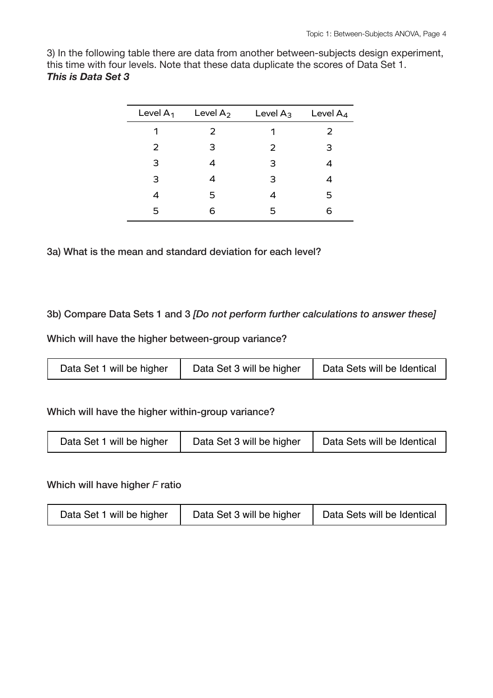3) In the following table there are data from another between-subjects design experiment, this time with four levels. Note that these data duplicate the scores of Data Set 1. *This is Data Set 3*

| Level $A_1$ | Level $A_2$ | Level $A_3$ | Level $A_4$ |
|-------------|-------------|-------------|-------------|
| 1           | 2           |             | 2           |
| 2           | 3           | 2           | З           |
| 3           | 4           | 3           |             |
| 3           | 4           | 3           |             |
| 4           | 5           | 4           | 5           |
| 5           | 6           | 5           | 6           |

3a) What is the mean and standard deviation for each level?

## 3b) Compare Data Sets 1 and 3 *[Do not perform further calculations to answer these]*

Which will have the higher between-group variance?

| Data Set 1 will be higher | Data Set 3 will be higher | Data Sets will be Identical |
|---------------------------|---------------------------|-----------------------------|
|---------------------------|---------------------------|-----------------------------|

Which will have the higher within-group variance?

| Data Set 1 will be higher | Data Set 3 will be higher | Data Sets will be Identical |
|---------------------------|---------------------------|-----------------------------|
|---------------------------|---------------------------|-----------------------------|

Which will have higher *F* ratio

| Data Set 1 will be higher | Data Set 3 will be higher | Data Sets will be Identical |
|---------------------------|---------------------------|-----------------------------|
|---------------------------|---------------------------|-----------------------------|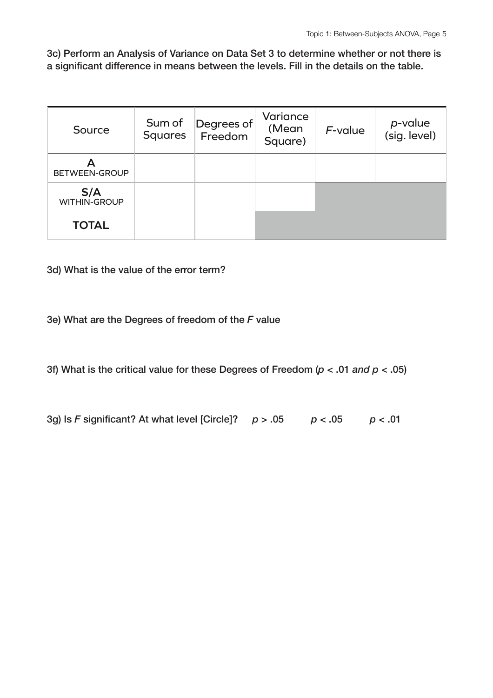3c) Perform an Analysis of Variance on Data Set 3 to determine whether or not there is a significant difference in means between the levels. Fill in the details on the table.

| Source                     | Sum of<br><b>Squares</b> | Degrees of<br>Freedom | Variance<br>(Mean<br>Square) | $F$ -value | p-value<br>(sig. level) |
|----------------------------|--------------------------|-----------------------|------------------------------|------------|-------------------------|
| BETWEEN-GROUP              |                          |                       |                              |            |                         |
| S/A<br><b>WITHIN-GROUP</b> |                          |                       |                              |            |                         |
| <b>TOTAL</b>               |                          |                       |                              |            |                         |

3d) What is the value of the error term?

3e) What are the Degrees of freedom of the *F* value

3f) What is the critical value for these Degrees of Freedom (*p* < .01 *and p* < .05)

3g) Is *F* significant? At what level [Circle]? *p* > .05 *p* < .05 *p* < .01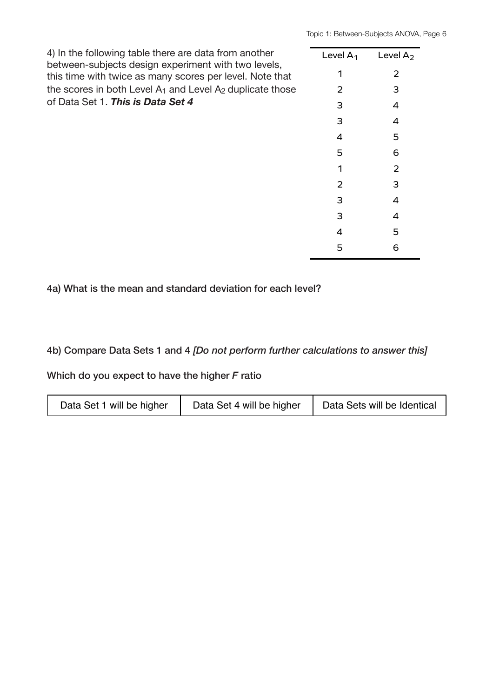| 4) In the following table there are data from another<br>between-subjects design experiment with two levels,<br>this time with twice as many scores per level. Note that<br>the scores in both Level A <sub>1</sub> and Level A <sub>2</sub> duplicate those<br>of Data Set 1. This is Data Set 4 | Level $A_1$ | Level $A2$ |
|---------------------------------------------------------------------------------------------------------------------------------------------------------------------------------------------------------------------------------------------------------------------------------------------------|-------------|------------|
|                                                                                                                                                                                                                                                                                                   |             | 2          |
|                                                                                                                                                                                                                                                                                                   | フ           | 3          |
|                                                                                                                                                                                                                                                                                                   |             | 4          |
|                                                                                                                                                                                                                                                                                                   | З           | 4          |
|                                                                                                                                                                                                                                                                                                   | 4           | 5          |
|                                                                                                                                                                                                                                                                                                   | 5           | 6          |
|                                                                                                                                                                                                                                                                                                   |             | フ          |
|                                                                                                                                                                                                                                                                                                   | 2           | З          |
|                                                                                                                                                                                                                                                                                                   | З           | 4          |
|                                                                                                                                                                                                                                                                                                   | З           | 4          |
|                                                                                                                                                                                                                                                                                                   | 4           | 5          |
|                                                                                                                                                                                                                                                                                                   | 5           | 6          |

4a) What is the mean and standard deviation for each level?

4b) Compare Data Sets 1 and 4 *[Do not perform further calculations to answer this]*

Which do you expect to have the higher *F* ratio

| Data Set 1 will be higher | Data Set 4 will be higher | Data Sets will be Identical |
|---------------------------|---------------------------|-----------------------------|
|---------------------------|---------------------------|-----------------------------|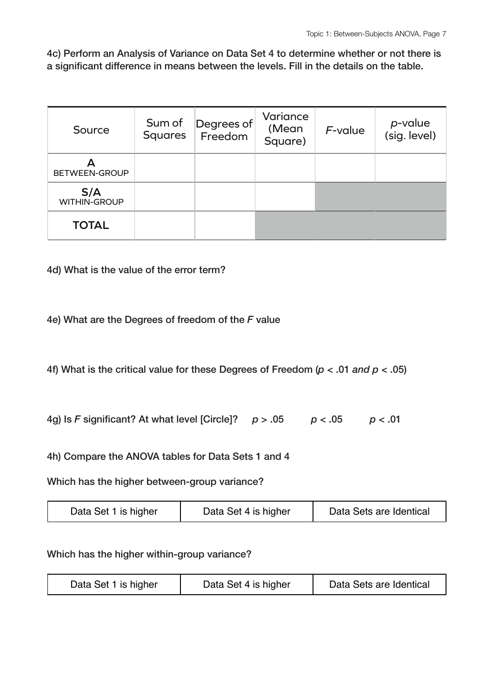4c) Perform an Analysis of Variance on Data Set 4 to determine whether or not there is a significant difference in means between the levels. Fill in the details on the table.

| Source                     | Sum of<br><b>Squares</b> | Degrees of<br>Freedom | Variance<br>(Mean<br>Square) | $F$ -value | p-value<br>(sig. level) |
|----------------------------|--------------------------|-----------------------|------------------------------|------------|-------------------------|
| BETWEEN-GROUP              |                          |                       |                              |            |                         |
| S/A<br><b>WITHIN-GROUP</b> |                          |                       |                              |            |                         |
| <b>TOTAL</b>               |                          |                       |                              |            |                         |

4d) What is the value of the error term?

4e) What are the Degrees of freedom of the *F* value

4f) What is the critical value for these Degrees of Freedom (*p* < .01 *and p* < .05)

4g) Is *F* significant? At what level [Circle]? *p* > .05 *p* < .05 *p* < .01

4h) Compare the ANOVA tables for Data Sets 1 and 4

Which has the higher between-group variance?

| Data Set 1 is higher<br>Data Set 4 is higher | Data Sets are Identical |
|----------------------------------------------|-------------------------|
|----------------------------------------------|-------------------------|

Which has the higher within-group variance?

| Data Set 1 is higher | Data Set 4 is higher | Data Sets are Identical |
|----------------------|----------------------|-------------------------|
|----------------------|----------------------|-------------------------|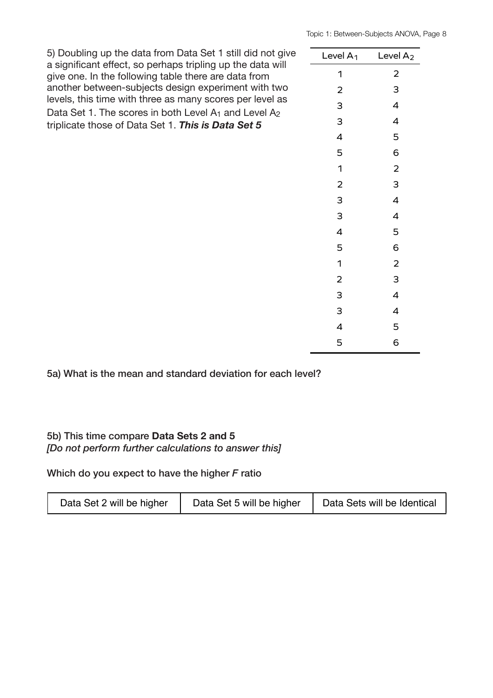| 5) Doubling up the data from Data Set 1 still did not give<br>a significant effect, so perhaps tripling up the data will<br>give one. In the following table there are data from | Level $A_1$    | Level $A_2$              |
|----------------------------------------------------------------------------------------------------------------------------------------------------------------------------------|----------------|--------------------------|
|                                                                                                                                                                                  | 1              | $\overline{2}$           |
| another between-subjects design experiment with two                                                                                                                              | 2              | 3                        |
| levels, this time with three as many scores per level as<br>Data Set 1. The scores in both Level A <sub>1</sub> and Level A <sub>2</sub>                                         | 3              | $\overline{4}$           |
| triplicate those of Data Set 1. This is Data Set 5                                                                                                                               | 3              | 4                        |
|                                                                                                                                                                                  | 4              | 5                        |
|                                                                                                                                                                                  | 5              | 6                        |
|                                                                                                                                                                                  | 1              | $\overline{2}$           |
|                                                                                                                                                                                  | $\overline{2}$ | 3                        |
|                                                                                                                                                                                  | 3              | 4                        |
|                                                                                                                                                                                  | 3              | 4                        |
|                                                                                                                                                                                  | 4              | 5                        |
|                                                                                                                                                                                  | 5              | 6                        |
|                                                                                                                                                                                  | 1              | $\overline{2}$           |
|                                                                                                                                                                                  | 2              | 3                        |
|                                                                                                                                                                                  | 3              | $\overline{\mathcal{A}}$ |
|                                                                                                                                                                                  | 3              | 4                        |
|                                                                                                                                                                                  | 4              | 5                        |
|                                                                                                                                                                                  | 5              | 6                        |
|                                                                                                                                                                                  |                |                          |

5a) What is the mean and standard deviation for each level?

## 5b) This time compare **Data Sets 2 and 5** *[Do not perform further calculations to answer this]*

Which do you expect to have the higher *F* ratio

| Data Set 2 will be higher | Data Set 5 will be higher | Data Sets will be Identical |
|---------------------------|---------------------------|-----------------------------|
|---------------------------|---------------------------|-----------------------------|